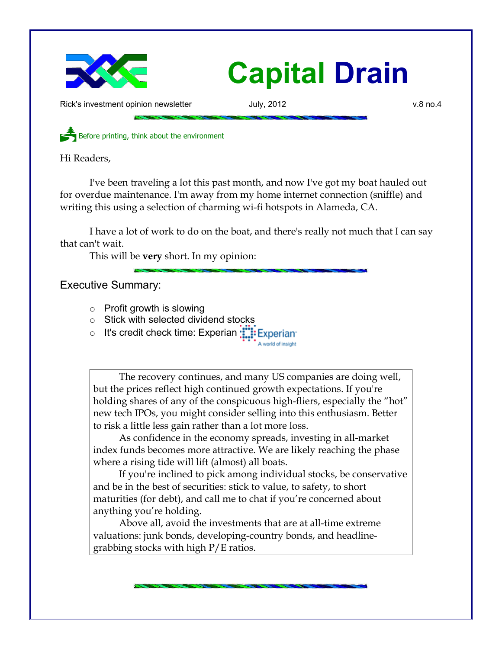

## **Capital Drain**

Rick's investment opinion newsletter **Accord Figure 1.0 and Turney 3.12** v.8 no.4

Before printing, think about the environment

Hi Readers,

I've been traveling a lot this past month, and now I've got my boat hauled out for overdue maintenance. I'm away from my home internet connection (sniffle) and writing this using a selection of charming wi-fi hotspots in Alameda, CA.

I have a lot of work to do on the boat, and there's really not much that I can say that can't wait.

This will be **very** short. In my opinion:

Executive Summary:

- $\circ$  Profit growth is slowing
- Stick with selected dividend stocks
- o It's credit check time: Experian : Experian

The recovery continues, and many US companies are doing well, but the prices reflect high continued growth expectations. If you're holding shares of any of the conspicuous high-fliers, especially the "hot" new tech IPOs, you might consider selling into this enthusiasm. Better

A world of insight

to risk a little less gain rather than a lot more loss. As confidence in the economy spreads, investing in all-market index funds becomes more attractive. We are likely reaching the phase where a rising tide will lift (almost) all boats.

If you're inclined to pick among individual stocks, be conservative and be in the best of securities: stick to value, to safety, to short maturities (for debt), and call me to chat if you're concerned about anything you're holding.

Above all, avoid the investments that are at all-time extreme valuations: junk bonds, developing-country bonds, and headlinegrabbing stocks with high P/E ratios.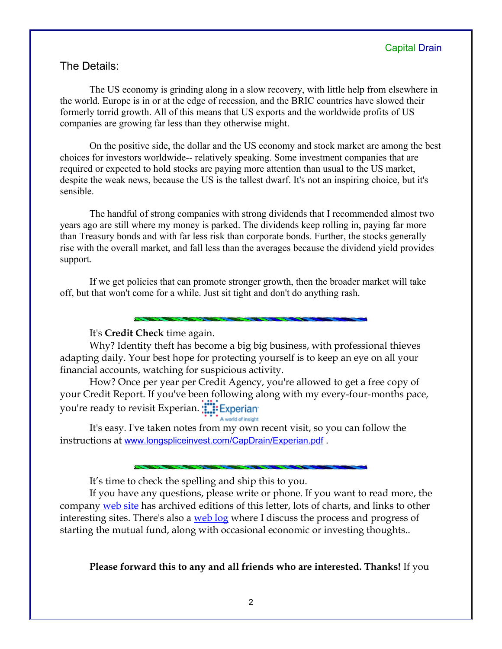## The Details:

The US economy is grinding along in a slow recovery, with little help from elsewhere in the world. Europe is in or at the edge of recession, and the BRIC countries have slowed their formerly torrid growth. All of this means that US exports and the worldwide profits of US companies are growing far less than they otherwise might.

On the positive side, the dollar and the US economy and stock market are among the best choices for investors worldwide-- relatively speaking. Some investment companies that are required or expected to hold stocks are paying more attention than usual to the US market, despite the weak news, because the US is the tallest dwarf. It's not an inspiring choice, but it's sensible.

The handful of strong companies with strong dividends that I recommended almost two years ago are still where my money is parked. The dividends keep rolling in, paying far more than Treasury bonds and with far less risk than corporate bonds. Further, the stocks generally rise with the overall market, and fall less than the averages because the dividend yield provides support.

If we get policies that can promote stronger growth, then the broader market will take off, but that won't come for a while. Just sit tight and don't do anything rash.

It's **Credit Check** time again.

Why? Identity theft has become a big big business, with professional thieves adapting daily. Your best hope for protecting yourself is to keep an eye on all your financial accounts, watching for suspicious activity.

How? Once per year per Credit Agency, you're allowed to get a free copy of your Credit Report. If you've been following along with my every-four-months pace, you're ready to revisit Experian. **The Experian** 

A world of insight

It's easy. I've taken notes from my own recent visit, so you can follow the instructions at [www.longspliceinvest.com/CapDrain/Experian.pdf](http://www.longspliceinvest.com/CapDrain/Experian.pdf) .

It's time to check the spelling and ship this to you.

If you have any questions, please write or phone. If you want to read more, the company [web site](http://www.LongspliceInvest.com/newsletter.shtml) has archived editions of this letter, lots of charts, and links to other interesting sites. There's also a [web log](http://www.LongspliceInvestments.com/ricksblog) where I discuss the process and progress of starting the mutual fund, along with occasional economic or investing thoughts..

**Please forward this to any and all friends who are interested. Thanks!** If you